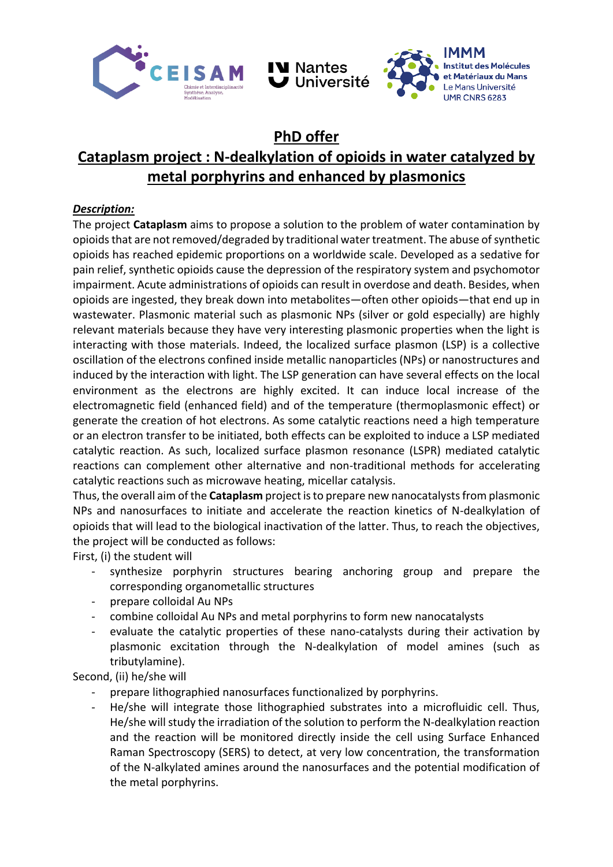

# **PhD offer**

# **Cataplasm project : N-dealkylation of opioids in water catalyzed by metal porphyrins and enhanced by plasmonics**

## *Description:*

The project **Cataplasm** aims to propose a solution to the problem of water contamination by opioids that are not removed/degraded by traditional water treatment. The abuse of synthetic opioids has reached epidemic proportions on a worldwide scale. Developed as a sedative for pain relief, synthetic opioids cause the depression of the respiratory system and psychomotor impairment. Acute administrations of opioids can result in overdose and death. Besides, when opioids are ingested, they break down into metabolites—often other opioids—that end up in wastewater. Plasmonic material such as plasmonic NPs (silver or gold especially) are highly relevant materials because they have very interesting plasmonic properties when the light is interacting with those materials. Indeed, the localized surface plasmon (LSP) is a collective oscillation of the electrons confined inside metallic nanoparticles (NPs) or nanostructures and induced by the interaction with light. The LSP generation can have several effects on the local environment as the electrons are highly excited. It can induce local increase of the electromagnetic field (enhanced field) and of the temperature (thermoplasmonic effect) or generate the creation of hot electrons. As some catalytic reactions need a high temperature or an electron transfer to be initiated, both effects can be exploited to induce a LSP mediated catalytic reaction. As such, localized surface plasmon resonance (LSPR) mediated catalytic reactions can complement other alternative and non-traditional methods for accelerating catalytic reactions such as microwave heating, micellar catalysis.

Thus, the overall aim of the **Cataplasm** project is to prepare new nanocatalysts from plasmonic NPs and nanosurfaces to initiate and accelerate the reaction kinetics of N-dealkylation of opioids that will lead to the biological inactivation of the latter. Thus, to reach the objectives, the project will be conducted as follows:

First, (i) the student will

- synthesize porphyrin structures bearing anchoring group and prepare the corresponding organometallic structures
- prepare colloidal Au NPs
- combine colloidal Au NPs and metal porphyrins to form new nanocatalysts
- evaluate the catalytic properties of these nano-catalysts during their activation by plasmonic excitation through the N-dealkylation of model amines (such as tributylamine).

Second, (ii) he/she will

- prepare lithographied nanosurfaces functionalized by porphyrins.
- He/she will integrate those lithographied substrates into a microfluidic cell. Thus, He/she will study the irradiation of the solution to perform the N-dealkylation reaction and the reaction will be monitored directly inside the cell using Surface Enhanced Raman Spectroscopy (SERS) to detect, at very low concentration, the transformation of the N-alkylated amines around the nanosurfaces and the potential modification of the metal porphyrins.